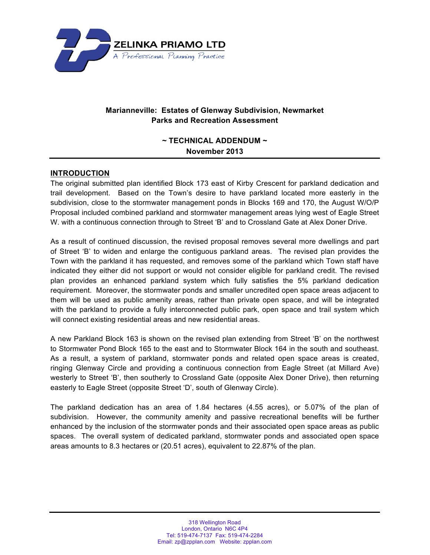

# **Marianneville: Estates of Glenway Subdivision, Newmarket Parks and Recreation Assessment**

# **~ TECHNICAL ADDENDUM ~ November 2013**

## **INTRODUCTION**

The original submitted plan identified Block 173 east of Kirby Crescent for parkland dedication and trail development. Based on the Town's desire to have parkland located more easterly in the subdivision, close to the stormwater management ponds in Blocks 169 and 170, the August W/O/P Proposal included combined parkland and stormwater management areas lying west of Eagle Street W. with a continuous connection through to Street 'B' and to Crossland Gate at Alex Doner Drive.

As a result of continued discussion, the revised proposal removes several more dwellings and part of Street 'B' to widen and enlarge the contiguous parkland areas. The revised plan provides the Town with the parkland it has requested, and removes some of the parkland which Town staff have indicated they either did not support or would not consider eligible for parkland credit. The revised plan provides an enhanced parkland system which fully satisfies the 5% parkland dedication requirement. Moreover, the stormwater ponds and smaller uncredited open space areas adjacent to them will be used as public amenity areas, rather than private open space, and will be integrated with the parkland to provide a fully interconnected public park, open space and trail system which will connect existing residential areas and new residential areas.

A new Parkland Block 163 is shown on the revised plan extending from Street 'B' on the northwest to Stormwater Pond Block 165 to the east and to Stormwater Block 164 in the south and southeast. As a result, a system of parkland, stormwater ponds and related open space areas is created, ringing Glenway Circle and providing a continuous connection from Eagle Street (at Millard Ave) westerly to Street 'B', then southerly to Crossland Gate (opposite Alex Doner Drive), then returning easterly to Eagle Street (opposite Street 'D', south of Glenway Circle).

The parkland dedication has an area of 1.84 hectares (4.55 acres), or 5.07% of the plan of subdivision. However, the community amenity and passive recreational benefits will be further enhanced by the inclusion of the stormwater ponds and their associated open space areas as public spaces. The overall system of dedicated parkland, stormwater ponds and associated open space areas amounts to 8.3 hectares or (20.51 acres), equivalent to 22.87% of the plan.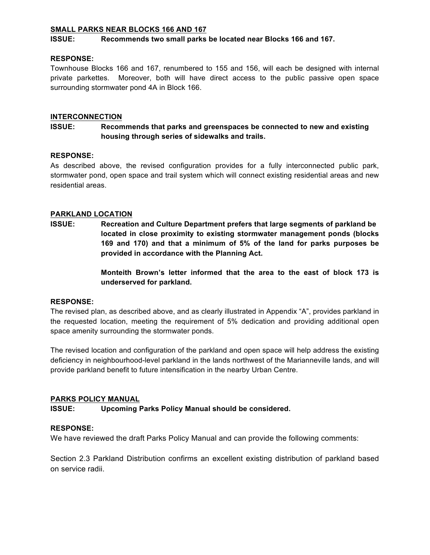#### **SMALL PARKS NEAR BLOCKS 166 AND 167**

#### **ISSUE: Recommends two small parks be located near Blocks 166 and 167.**

#### **RESPONSE:**

Townhouse Blocks 166 and 167, renumbered to 155 and 156, will each be designed with internal private parkettes. Moreover, both will have direct access to the public passive open space surrounding stormwater pond 4A in Block 166.

#### **INTERCONNECTION**

## **ISSUE: Recommends that parks and greenspaces be connected to new and existing housing through series of sidewalks and trails.**

#### **RESPONSE:**

As described above, the revised configuration provides for a fully interconnected public park, stormwater pond, open space and trail system which will connect existing residential areas and new residential areas.

#### **PARKLAND LOCATION**

**ISSUE: Recreation and Culture Department prefers that large segments of parkland be located in close proximity to existing stormwater management ponds (blocks 169 and 170) and that a minimum of 5% of the land for parks purposes be provided in accordance with the Planning Act.**

> **Monteith Brown's letter informed that the area to the east of block 173 is underserved for parkland.**

#### **RESPONSE:**

The revised plan, as described above, and as clearly illustrated in Appendix "A", provides parkland in the requested location, meeting the requirement of 5% dedication and providing additional open space amenity surrounding the stormwater ponds.

The revised location and configuration of the parkland and open space will help address the existing deficiency in neighbourhood-level parkland in the lands northwest of the Marianneville lands, and will provide parkland benefit to future intensification in the nearby Urban Centre.

#### **PARKS POLICY MANUAL**

#### **ISSUE: Upcoming Parks Policy Manual should be considered.**

#### **RESPONSE:**

We have reviewed the draft Parks Policy Manual and can provide the following comments:

Section 2.3 Parkland Distribution confirms an excellent existing distribution of parkland based on service radii.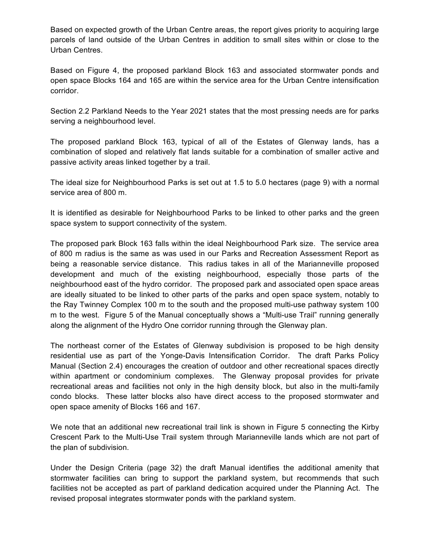Based on expected growth of the Urban Centre areas, the report gives priority to acquiring large parcels of land outside of the Urban Centres in addition to small sites within or close to the Urban Centres.

Based on Figure 4, the proposed parkland Block 163 and associated stormwater ponds and open space Blocks 164 and 165 are within the service area for the Urban Centre intensification corridor.

Section 2.2 Parkland Needs to the Year 2021 states that the most pressing needs are for parks serving a neighbourhood level.

The proposed parkland Block 163, typical of all of the Estates of Glenway lands, has a combination of sloped and relatively flat lands suitable for a combination of smaller active and passive activity areas linked together by a trail.

The ideal size for Neighbourhood Parks is set out at 1.5 to 5.0 hectares (page 9) with a normal service area of 800 m.

It is identified as desirable for Neighbourhood Parks to be linked to other parks and the green space system to support connectivity of the system.

The proposed park Block 163 falls within the ideal Neighbourhood Park size. The service area of 800 m radius is the same as was used in our Parks and Recreation Assessment Report as being a reasonable service distance. This radius takes in all of the Marianneville proposed development and much of the existing neighbourhood, especially those parts of the neighbourhood east of the hydro corridor. The proposed park and associated open space areas are ideally situated to be linked to other parts of the parks and open space system, notably to the Ray Twinney Complex 100 m to the south and the proposed multi-use pathway system 100 m to the west. Figure 5 of the Manual conceptually shows a "Multi-use Trail" running generally along the alignment of the Hydro One corridor running through the Glenway plan.

The northeast corner of the Estates of Glenway subdivision is proposed to be high density residential use as part of the Yonge-Davis Intensification Corridor. The draft Parks Policy Manual (Section 2.4) encourages the creation of outdoor and other recreational spaces directly within apartment or condominium complexes. The Glenway proposal provides for private recreational areas and facilities not only in the high density block, but also in the multi-family condo blocks. These latter blocks also have direct access to the proposed stormwater and open space amenity of Blocks 166 and 167.

We note that an additional new recreational trail link is shown in Figure 5 connecting the Kirby Crescent Park to the Multi-Use Trail system through Marianneville lands which are not part of the plan of subdivision.

Under the Design Criteria (page 32) the draft Manual identifies the additional amenity that stormwater facilities can bring to support the parkland system, but recommends that such facilities not be accepted as part of parkland dedication acquired under the Planning Act. The revised proposal integrates stormwater ponds with the parkland system.